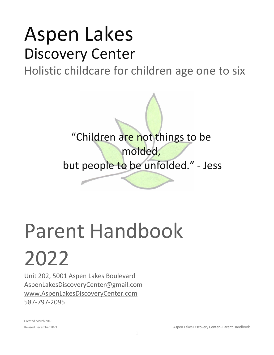## Aspen Lakes Discovery Center

Holistic childcare for children age one to six



# Parent Handbook

2022

Unit 202, 5001 Aspen Lakes Boulevard [AspenLakesDiscoveryCenter@gmail.com](mailto:AspenLakesDiscoveryCenter@gmail.com) www.AspenLakesDiscoveryCenter.com 587-797-2095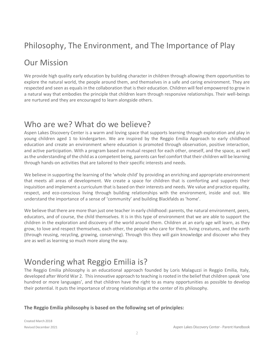## Philosophy, The Environment, and The Importance of Play

## Our Mission

We provide high quality early education by building character in children through allowing them opportunities to explore the natural world, the people around them, and themselves in a safe and caring environment. They are respected and seen as equals in the collaboration that is their education. Children will feel empowered to grow in a natural way that embodies the principle that children learn through responsive relationships. Their well-beings are nurtured and they are encouraged to learn alongside others.

## Who are we? What do we believe?

Aspen Lakes Discovery Center is a warm and loving space that supports learning through exploration and play in young children aged 1 to kindergarten. We are inspired by the Reggio Emilia Approach to early childhood education and create an environment where education is promoted through observation, positive interaction, and active participation. With a program based on mutual respect for each other, oneself, and the space, as well as the understanding of the child as a competent being, parents can feel comfort that their children will be learning through hands-on activities that are tailored to their specific interests and needs.

We believe in supporting the learning of the 'whole child' by providing an enriching and appropriate environment that meets all areas of development. We create a space for children that is comforting and supports their inquisition and implement a curriculum that is based on their interests and needs. We value and practice equality, respect, and eco-conscious living through building relationships with the environment, inside and out. We understand the importance of a sense of 'community' and building Blackfalds as 'home'.

We believe that there are more than just one teacher in early childhood: parents, the natural environment, peers, educators, and of course, the child themselves. It is in this type of environment that we are able to support the children in the exploration and discovery of the world around them. Children at an early age will learn, as they grow, to love and respect themselves, each other, the people who care for them, living creatures, and the earth (through reusing, recycling, growing, conserving). Through this they will gain knowledge and discover who they are as well as learning so much more along the way.

## Wondering what Reggio Emilia is?

The Reggio Emilia philosophy is an educational approach founded by Loris Malaguzzi in Reggio Emilia, Italy, developed after World War 2. Thisinnovative approach to teaching isrooted in the belief that children speak 'one hundred or more languages', and that children have the right to as many opportunities as possible to develop their potential. It puts the importance of strong relationships at the center of its philosophy.

#### **The Reggio Emilia philosophy is based on the following set of principles:**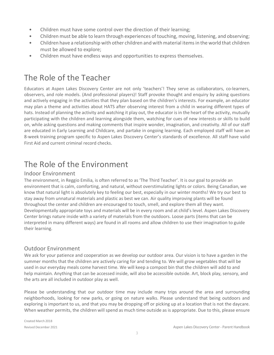- Children must have some control over the direction of their learning;
- Children must be able to learn through experiences of touching, moving, listening, and observing;
- Children have a relationship with other children and withmaterial itemsin the world that children must be allowed to explore;
- Children must have endless ways and opportunities to express themselves.

## The Role of the Teacher

Educators at Aspen Lakes Discovery Center are not only 'teachers'! They serve as collaborators, co-learners, observers, and role models. (And professional players)! Staff provoke thought and enquiry by asking questions and actively engaging in the activities that they plan based on the children's interests. For example, an educator may plan a theme and activities about HATS after observing interest from a child in wearing different types of hats. Instead of planning the activity and watching it play out, the educator is in the heart of the activity, mutually participating with the children and learning alongside them, watching for cues of new interests or skills to build on, while asking questions and making comments that inspire wonder, imagination, and creativity. All of our staff are educated in Early Learning and Childcare, and partake in ongoing learning. Each employed staff will have an 8-week training program specific to Aspen Lakes Discovery Center's standards of excellence. All staff have valid First Aid and current criminal record checks.

## The Role of the Environment

#### Indoor Environment

The environment, in Reggio Emilia, is often referred to as 'The Third Teacher'. It is our goal to provide an environment that is calm, comforting, and natural, without overstimulating lights or colors. Being Canadian, we know that natural light is absolutely key to feeling our best, especially in our winter months! We try our best to stay away from unnatural materials and plastic as best we can. Air quality improving plants will be found throughout the center and children are encouraged to touch, smell, and explore them all they want. Developmentally appropriate toys and materials will be in every room and at child's level. Aspen Lakes Discovery Center brings nature inside with a variety of materials from the outdoors. Loose parts (items that can be interpreted in many different ways) are found in all rooms and allow children to use their imagination to guide their learning.

#### Outdoor Environment

We ask for your patience and cooperation as we develop our outdoor area. Our vision is to have a garden in the summer months that the children are actively caring for and tending to. We will grow vegetables that will be used in our everyday meals come harvest time. We will keep a compost bin that the children will add to and help maintain. Anything that can be accessed inside, will also be accessible outside. Art, block play, sensory, and the arts are all included in outdoor play as well.

Please be understanding that our outdoor time may include many trips around the area and surrounding neighborhoods, looking for new parks, or going on nature walks. Please understand that being outdoors and exploring is important to us, and that you may be dropping off or picking up at a location that is not the daycare. When weather permits, the children will spend as much time outside as is appropriate. Due to this, please ensure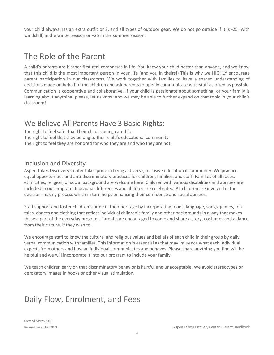your child always has an extra outfit or 2, and all types of outdoor gear. We do not go outside if it is -25 (with windchill) in the winter season or +25 in the summer season.

## The Role of the Parent

A child's parents are his/her first real compasses in life. You know your child better than anyone, and we know that this child is the most important person in your life (and you in theirs!) This is why we HIGHLY encourage parent participation in our classrooms. We work together with families to have a shared understanding of decisions made on behalf of the children and ask parents to openly communicate with staff as often as possible. Communication is cooperative and collaborative. If your child is passionate about something, or your family is learning about anything, please, let us know and we may be able to further expand on that topic in your child's classroom!

#### We Believe All Parents Have 3 Basic Rights:

The right to feel safe: that their child is being cared for The right to feel that they belong to their child's educational community The right to feel they are honored for who they are and who they are not

#### Inclusion and Diversity

Aspen Lakes Discovery Center takes pride in being a diverse, inclusive educational community. We practice equal opportunities and anti-discriminatory practices for children, families, and staff. Families of all races, ethnicities, religion, or social background are welcome here. Children with various disabilities and abilities are included in our program. Individual differences and abilities are celebrated. All children are involved in the decision-making process which in turn helps enhancing their confidence and social abilities.

Staff support and foster children's pride in their heritage by incorporating foods, language, songs, games, folk tales, dances and clothing that reflect individual children's family and other backgrounds in a way that makes these a part of the everyday program. Parents are encouraged to come and share a story, costumes and a dance from their culture, if they wish to.

We encourage staff to know the cultural and religious values and beliefs of each child in their group by daily verbal communication with families. This information is essential as that may influence what each individual expects from others and how an individual communicates and behaves. Please share anything you find will be helpful and we will incorporate it into our program to include your family.

We teach children early on that discriminatory behavior is hurtful and unacceptable. We avoid stereotypes or derogatory images in books or other visual stimulation.

## Daily Flow, Enrolment, and Fees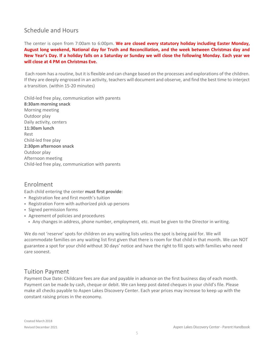#### Schedule and Hours

The center is open from 7:00am to 6:00pm. **We are closed every statutory holiday including Easter Monday, August long weekend, National day for Truth and Reconciliation, and the week between Christmas day and** New Year's Day. If a holiday falls on a Saturday or Sunday we will close the following Monday. Each year we **will close at 4 PM on Christmas Eve.**

Each room has a routine, but it is flexible and can change based on the processes and explorations of the children. If they are deeply engrossed in an activity, teachers will document and observe, and find the best time to interject a transition. (within 15-20 minutes)

Child-led free play, communication with parents **8:30am morning snack** Morning meeting Outdoor play Daily activity, centers **11:30am lunch** Rest Child-led free play **2:30pm afternoon snack** Outdoor play Afternoon meeting Child-led free play, communication with parents

#### Enrolment

Each child entering the center **must first provide**:

- Registration fee and first month's tuition
- Registration Form with authorized pick up persons
- Signed permission forms
- Agreement of policies and procedures
	- Any changes in address, phone number, employment, etc. must be given to the Director in writing.

We do not 'reserve' spots for children on any waiting lists unless the spot is being paid for. We will accommodate families on any waiting list first given that there is room for that child in that month. We can NOT guarantee a spot for your child without 30 days' notice and have the right to fill spots with families who need care soonest.

#### Tuition Payment

Payment Due Date: Childcare fees are due and payable in advance on the first business day of each month. Payment can be made by cash, cheque or debit. We can keep post dated cheques in your child's file. Please make all checks payable to Aspen Lakes Discovery Center. Each year prices may increase to keep up with the constant raising prices in the economy.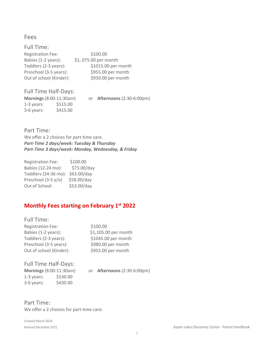#### Fees

| Full Time:               |                      |
|--------------------------|----------------------|
| <b>Registration Fee:</b> | \$100.00             |
| Babies (1-2 years):      | \$1,075.00 per month |
| Toddlers (2-3 years):    | \$1015.00 per month  |
| Preschool (3-5 years):   | \$955.00 per month   |
| Out of school (Kinder):  | \$930.00 per month   |

#### Full Time Half-Days:

| <b>Mornings</b> (8:00-11:30am) |          | or. | <b>Afternoons (2:30-6:00pm)</b> |
|--------------------------------|----------|-----|---------------------------------|
| $1-3$ years:                   | \$515.00 |     |                                 |
| 3-6 years:                     | \$415.00 |     |                                 |

Part Time: We offer a 2 choices for part-time care. *Part-Time 2 days/week: Tuesday & Thursday Part-Time 3 days/week: Monday, Wednesday, & Friday*

| <b>Registration Fee:</b> | \$100.00    |
|--------------------------|-------------|
| Babies (12-24 mo):       | \$73.00/day |
| Toddlers (24-36 mo):     | \$63.00/day |
| Preschool (3-5 y/o)      | \$58.00/day |
| Out of School:           | \$53.00/day |

#### **Monthly Fees starting on February 1 st 2022**

| Full Time:               |                      |
|--------------------------|----------------------|
| <b>Registration Fee:</b> | \$100.00             |
| Babies (1-2 years):      | \$1,105.00 per month |
| Toddlers (2-3 years):    | \$1045.00 per month  |
| Preschool (3-5 years):   | \$980.00 per month   |
| Out of school (Kinder):  | \$955.00 per month   |
|                          |                      |

Full Time Half-Days: **Mornings** (8:00-11:30am) or **Afternoons** (2:30-6:00pm) 1-3 years: \$530.00 3-6 years: \$430.00

Part Time: We offer a 2 choices for part-time care.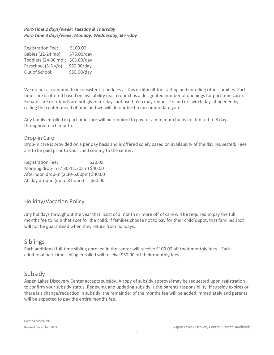#### *Part-Time 2 days/week: Tuesday & Thursday Part-Time 3 days/week: Monday, Wednesday, & Friday*

| <b>Registration Fee:</b> | \$100.00    |
|--------------------------|-------------|
| Babies (12-24 mo):       | \$75.00/day |
| Toddlers (24-36 mo):     | \$65.00/day |
| Preschool (3-5 y/o)      | \$60.00/day |
| Out of School:           | \$55.00/day |

We do not accommodate inconsistent schedules as this is difficult for staffing and enrolling other families. Part time care is offered based on availability (each room has a designated number of openings for part time care). Rebate care or refunds are not given for days not used. You may request to add or switch days if needed by calling the center ahead of time and we will do our best to accommodate you!

Any family enrolled in part time care will be required to pay for a minimum but is not limited to 8 days throughout each month.

#### Drop-in Care:

Drop-in care is provided on a per day basis and is offered solely based on availability of the day requested. Fees are to be paid prior to your child coming to the center.

Registration Fee: \$20.00 Morning drop-in (7:30-11:30am) \$40.00 Afternoon drop-in (2:30-6:00pm) \$40.00 All day drop-in (up to 8 hours)  $$60.00$ 

#### Holiday/Vacation Policy

Any holidays throughout the year that insist of a month or more off of care will be required to pay the full months fee to hold that spot for the child. If families choose not to pay for their child's spot, that families spot will not be guaranteed when they return from holidays.

#### Siblings

Each additional full-time sibling enrolled in the center will receive \$100.00 off their monthly fees. Each additional part-time sibling enrolled will receive \$50.00 off their monthly fees!

#### Subsidy

Aspen Lakes Discovery Center accepts subsidy. A copy of subsidy approval may be requested upon registration to confirm your subsidy status. Renewing and updating subsidy is the parents responsibility. If subsidy expires or there is a change/reduction in subsidy, the remainder of the months fee will be added immediately and parents will be expected to pay the entire months fee.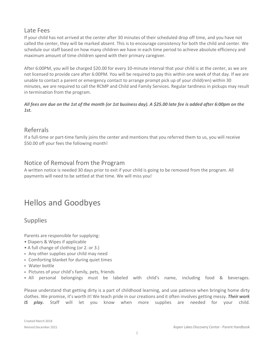#### Late Fees

If your child has not arrived at the center after 30 minutes of their scheduled drop off time, and you have not called the center, they will be marked absent. This is to encourage consistency for both the child and center. We schedule our staff based on how many children we have in each time period to achieve absolute efficiency and maximum amount of time children spend with their primary caregiver.

After 6:00PM, you will be charged \$20.00 for every 10-minute interval that your child is at the center, as we are not licensed to provide care after 6:00PM. You will be required to pay this within one week of that day. If we are unable to contact a parent or emergency contact to arrange prompt pick up of your child(ren) within 30 minutes, we are required to call the RCMP and Child and Family Services. Regular tardiness in pickups may result in termination from the program.

#### All fees are due on the 1st of the month (or 1st business day). A \$25.00 late fee is added after 6:00pm on the *1st.*

#### Referrals

If a full-time or part-time family joins the center and mentions that you referred them to us, you will receive \$50.00 off your fees the following month!

#### Notice of Removal from the Program

A written notice is needed 30 days prior to exit if your child is going to be removed from the program. All payments will need to be settled at that time. We will miss you!

### Hellos and Goodbyes

#### Supplies

Parents are responsible for supplying:

- Diapers & Wipes if applicable
- A full change of clothing (or 2. or 3.)
- Any other supplies your child may need
- Comforting blanket for during quiet times
- Water bottle
- Pictures of your child's family, pets, friends
- All personal belongings must be labeled with child's name, including food & beverages.

Please understand that getting dirty is a part of childhood learning, and use patience when bringing home dirty clothes. We promise, it's worth it! We teach pride in our creations and it often involves getting messy. *Their work IS play.* Staff will let you know when more supplies are needed for your child.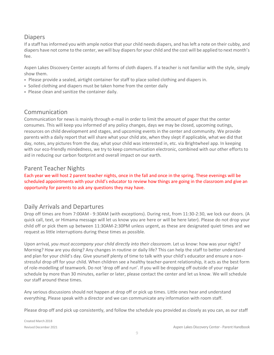#### **Diapers**

If a staff has informed you with ample notice that your child needs diapers, and has left a note on their cubby, and diapers have not come to the center, we will buy diapersfor your child and the cost will be applied to next month's fee.

Aspen Lakes Discovery Center accepts all forms of cloth diapers. If a teacher is not familiar with the style, simply show them.

- Please provide a sealed, airtight container for staff to place soiled clothing and diapers in.
- Soiled clothing and diapers must be taken home from the center daily
- Please clean and sanitize the container daily.

#### Communication

Communication for news is mainly through e-mail in order to limit the amount of paper that the center consumes. This will keep you informed of any policy changes, days we may be closed, upcoming outings, resources on child development and stages, and upcoming events in the center and community. We provide parents with a daily report that will share what your child ate, when they slept if applicable, what we did that day, notes, any pictures from the day, what your child was interested in, etc. via Brightwheel app. In keeping with our eco-friendly mindedness, we try to keep communication electronic, combined with our other efforts to aid in reducing our carbon footprint and overall impact on our earth.

#### Parent Teacher Nights

Each year we will host 2 parent teacher nights, once in the fall and once in the spring. These evenings will be scheduled appointments with your child's educator to review how things are going in the classroom and give an opportunity for parents to ask any questions they may have.

#### Daily Arrivals and Departures

Drop off times are from 7:00AM - 9:30AM (with exceptions). During rest, from 11:30-2:30, we lock our doors. (A quick call, text, or Himama message will let us know you are here or will be here later). Please do not drop your child off or pick them up between 11:30AM-2:30PM unless urgent, as these are designated quiet times and we request as little interruptions during these times as possible.

Upon arrival*, you must accompany your child directly into their classroom*. Let us know: how was your night? Morning? How are you doing? Any changes in routine or daily life? This can help the staff to better understand and plan for your child's day. Give yourself plenty of time to talk with your child's educator and ensure a nonstressful drop off for your child. When children see a healthy teacher-parent relationship, it acts as the best form of role-modelling of teamwork. Do not 'drop off and run'. If you will be dropping off outside of your regular schedule by more than 30 minutes, earlier or later, please contact the center and let us know. We will schedule our staff around these times.

Any serious discussions should not happen at drop off or pick up times. Little ones hear and understand everything. Please speak with a director and we can communicate any information with room staff.

Please drop off and pick up consistently, and follow the schedule you provided as closely as you can, as our staff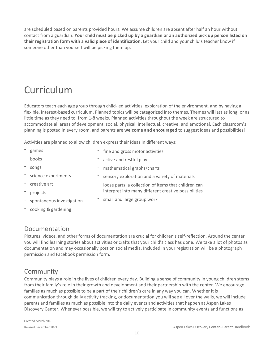are scheduled based on parents provided hours. We assume children are absent after half an hour without contact from a guardian. Your child must be picked up by a guardian or an authorized pick up person listed on **their registration form with a valid piece of identification.** Let your child and your child's teacher know if someone other than yourself will be picking them up.

## Curriculum

Educators teach each age group through child-led activities, exploration of the environment, and by having a flexible, interest-based curriculum. Planned topics will be categorized into themes. Themes will last as long, or as little time as they need to, from 1-8 weeks. Planned activities throughout the week are structured to accommodate all areas of development: social, physical, intellectual, creative, and emotional. Each classroom's planning is posted in every room, and parents are **welcome and encouraged** to suggest ideas and possibilities!

Activities are planned to allow children express their ideas in different ways:

| games                     | - fine and gross motor activities                    |
|---------------------------|------------------------------------------------------|
| books                     | active and restful play                              |
| songs                     | mathematical graphs/charts                           |
| science experiments       | sensory exploration and a variety of materials       |
| creative art              | loose parts: a collection of items that children can |
| projects                  | interpret into many different creative possibilities |
| spontaneous investigation | small and large group work                           |
| cooking & gardening       |                                                      |

#### Documentation

Pictures, videos, and other forms of documentation are crucial for children's self-reflection. Around the center you will find learning stories about activities or crafts that your child's class has done. We take a lot of photos as documentation and may occasionally post on social media. Included in your registration will be a photograph permission and Facebook permission form.

#### Community

Community plays a role in the lives of children every day. Building a sense of community in young children stems from their family's role in their growth and development and their partnership with the center. We encourage families as much as possible to be a part of their children's care in any way you can. Whether it is communication through daily activity tracking, or documentation you will see all over the walls, we will include parents and families as much as possible into the daily events and activities that happen at Aspen Lakes Discovery Center. Whenever possible, we will try to actively participate in community events and functions as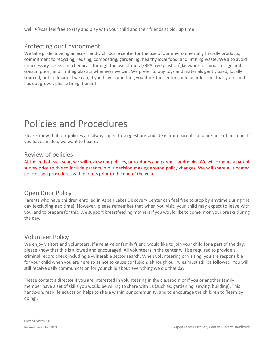well. *Please* feel free to stay and play with your child and their friends at pick up time!

#### Protecting our Environment

We take pride in being an eco-friendly childcare center for the use of our environmentally friendly products, commitment to recycling, reusing, composting, gardening, healthy local food, and limiting waste. We also avoid unnecessary toxins and chemicals through the use of metal/BPA free plastics/glassware for food storage and consumption, and limiting plastics whenever we can. We prefer to buy toys and materials gently used, locally sourced, or handmade if we can; if you have something you think the center could benefit from that your child has out grown, please bring it on in!

## Policies and Procedures

Please know that our policies are always open to suggestions and ideas from parents, and are not set in stone. If you have an idea, we want to hear it.

#### Review of policies

At the end of each year, we will review our policies, procedures and parent handbooks. We will conduct a parent survey prior to this to include parents in our decision making around policy changes. We will share all updated policies and procedures with parents prior to the end of the year.

#### Open Door Policy

Parents who have children enrolled in Aspen Lakes Discovery Center can feel free to stop by anytime during the day (excluding nap time). However, please remember that when you visit, your child may expect to leave with you, and to prepare for this. We support breastfeeding mothersif you would like to come in on your breaks during the day.

#### Volunteer Policy

We enjoy visitors and volunteers; if a relative or family friend would like to join your child for a part of the day, please know that this is allowed and encouraged. All volunteers in the center will be required to provide a criminal record check including a vulnerable sector search. When volunteering or visiting, you are responsible for your child when you are here so as not to cause confusion, although our rules must still be followed. You will still receive daily communication for your child about everything we did that day.

Please contact a director if you are interested in volunteering in the classroom or if you or another family member have a set of skills you would be willing to share with us (such as: gardening, sewing, building). This hands-on, real-life education helps to share within our community, and to encourage the children to 'learn by doing'.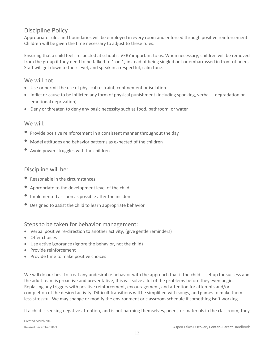#### Discipline Policy

Appropriate rules and boundaries will be employed in every room and enforced through positive reinforcement. Children will be given the time necessary to adjust to these rules.

Ensuring that a child feels respected at school is VERY important to us. When necessary, children will be removed from the group if they need to be talked to 1 on 1, instead of being singled out or embarrassed in front of peers. Staff will get down to their level, and speak in a respectful, calm tone.

#### We will not:

- Use or permit the use of physical restraint, confinement or isolation
- Inflict or cause to be inflicted any form of physical punishment (including spanking, verbal degradation or emotional deprivation)
- Deny or threaten to deny any basic necessity such as food, bathroom, or water

#### We will:

- Provide positive reinforcement in <sup>a</sup> consistent manner throughout the day
- Model attitudes and behavior patterns as expected of the children
- Avoid power struggles with the children

#### Discipline will be:

- Reasonable in the circumstances
- Appropriate to the development level of the child
- Implemented as soon as possible after the incident
- Designed to assist the child to learn appropriate behavior

#### Steps to be taken for behavior management:

- Verbal positive re-direction to another activity, (give gentle reminders)
- Offer choices
- Use active ignorance (ignore the behavior, not the child)
- Provide reinforcement
- Provide time to make positive choices

We will do our best to treat any undesirable behavior with the approach that if the child is set up for success and the adult team is proactive and preventative, this will solve a lot of the problems before they even begin. Replacing any triggers with positive reinforcement, encouragement, and attention for attempts and/or completion of the desired activity. Difficult transitions will be simplified with songs, and games to make them less stressful. We may change or modify the environment or classroom schedule if something isn't working.

If a child is seeking negative attention, and is not harming themselves, peers, or materials in the classroom, they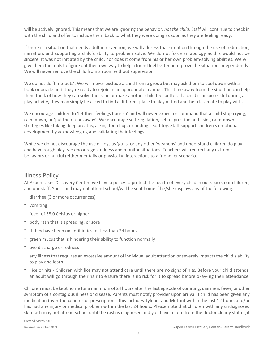will be actively ignored. This means that we are ignoring the behavior*, not the child*. Staff will continue to check in with the child and offer to include them back to what they were doing as soon as they are feeling ready.

If there is a situation that needs adult intervention, we will address that situation through the use of redirection, narration, and supporting a child's ability to problem solve. We do not force an apology as this would not be sincere. It was not initiated by the child, nor does it come from his or her own problem-solving abilities. We will give them the toolsto figure out their own way to help a friend feel better or improve the situation independently. We will never remove the child from a room without supervision.

We do not do 'time-outs'. We will never exclude a child from a group but may ask them to cool down with a book or puzzle until they're ready to rejoin in an appropriate manner. This time away from the situation can help them think of how they can solve the issue or make another child feel better. If a child is unsuccessful during a play activity, they may simply be asked to find a different place to play or find another classmate to play with.

We encourage children to 'let their feelings flourish' and will never expect or command that a child stop crying, calm down, or 'put their tears away'. We encourage self-regulation, self-expression and using calm-down strategies like taking deep breaths, asking for a hug, or finding a soft toy. Staff support children's emotional development by acknowledging and validating their feelings.

While we do not discourage the use of toys as 'guns' or any other 'weapons' and understand children do play and have rough play, we encourage kindness and monitor situations. Teachers will redirect any extreme behaviors or hurtful (either mentally or physically) interactions to a friendlier scenario.

#### Illness Policy

At Aspen Lakes Discovery Center, we have a policy to protect the health of every child in our space, our children, and our staff. Your child may not attend school/will be sent home if he/she displays any of the following:

- diarrhea (3 or more occurrences)
- vomiting
- fever of 38.0 Celsius or higher
- body rash that is spreading, or sore
- if they have been on antibiotics for less than 24 hours
- green mucus that is hindering their ability to function normally
- eye discharge or redness
- any illness that requires an excessive amount of individual adult attention or severely impacts the child's ability to play and learn
- lice or nits Children with lice may not attend care until there are no signs of nits. Before your child attends, an adult will go through their hair to ensure there is no risk for it to spread before okay-ing their attendance.

Children must be kept home for a minimum of 24 hours afterthe last episode of vomiting, diarrhea, fever, or other symptom of a contagious illness or disease. Parents must notify provider upon arrival if child has been given any medication (over the counter or prescription - this includes Tylenol and Motrin) within the last 12 hours and/or has had any injury or medical problem within the last 24 hours. Please note that children with any undiagnosed skin rash may not attend school until the rash is diagnosed and you have a note from the doctor clearly stating it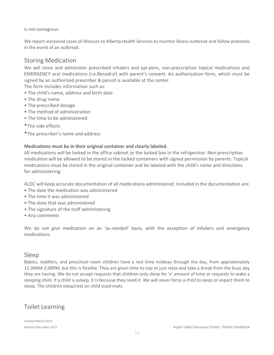is not contagious.

We report increased cases of illnesses to Alberta Health Services to monitor illness outbreak and follow protocols in the event of an outbreak.

#### Storing Medication

We will store and administer prescribed inhalers and epi-pens, non-prescription topical medications and EMERGENCY oral medications (i.e.Benadryl) with parent's consent. An authorization form, which must be signed by an authorized prescriber & parent is available at the center.

The form includes information such as:

- The child's name, address and birth date
- The drug name
- The prescribed dosage
- The method of administration
- The time to be administered
- •The side effects
- •The prescriber's name and address

#### **Medications must be in their original container and clearly labeled.**

All medications will be locked in the office cabinet or the locked box in the refrigerator. Non-prescription medication will be allowed to be stored in the locked containers with signed permission by parents. Topical medications must be stored in the original container and be labeled with the child's name and directions for administering.

ALDC will keep accurate documentation of all medications administered. Included in the documentation are:

- The date the medication was administered
- The time it was administered
- The dose that was administered
- The signature of the staff administering
- Any comments

We do not give medication on an 'as-needed' basis, with the exception of inhalers and emergency medications.

#### Sleep

Babies, toddlers, and preschool room children have a rest time midway through the day, from approximately 11:30AM-2:00PM, but this is flexible. They are given time to nap or just relax and take a break from the busy day they are having. We do not accept requests that children only sleep for 'x' amount of time or requests to wake a sleeping child. If a child is asleep, it is because they need it. We will never force a child to sleep or expect them to sleep. The children sleep/rest on child sized mats.

#### Toilet Learning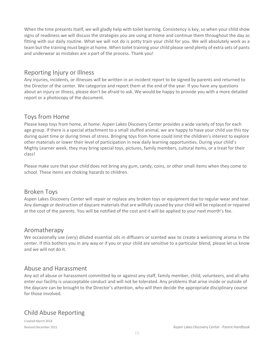When the time presents itself, we will gladly help with toilet learning. Consistency is key, so when your child show signs of readiness we will discuss the strategies you are using at home and continue them throughout the day as fitting with our daily routine. What we will not do is potty train your child for you. We will absolutely work as a team but the training must begin at home. When toilet training your child please send plenty of extra sets of pants and underwear as mistakes are a part of the process. Thank you!

#### Reporting Injury or Illness

Any injuries, incidents, or illnesses will be written in an incident report to be signed by parents and returned to the Director of the center. We categorize and report them at the end of the year. If you have any questions about an injury or illness, please don't be afraid to ask. We would be happy to provide you with a more detailed report or a photocopy of the document.

#### Toys from Home

Please keep toys from home, at home. Aspen Lakes Discovery Center provides a wide variety of toys for each age group. If there is a special attachment to a small stuffed animal, we are happy to have your child use this toy during quiet time or during times of stress. Bringing toys from home could limit the children's interest to explore other materials or lower their level of participation in new daily learning opportunities. During your child's Mighty Learner week, they may bring special toys, pictures, family members, cultural items, or a treat for their class!

Please make sure that your child does not bring any gum, candy, coins, or other small items when they come to school. These items are choking hazards to children.

#### Broken Toys

Aspen Lakes Discovery Center will repair or replace any broken toys or equipment due to regular wear and tear. Any damage or destruction of daycare materials that are willfully caused by your child will be replaced or repaired at the cost of the parents. You will be notified of the cost and it will be applied to your next month's fee.

#### Aromatherapy

We occasionally use (very) diluted essential oils in diffusers or scented wax to create a welcoming aroma in the center. If this bothers you in any way or if you or your child are sensitive to a particular blend, please let us know and we will not do it.

#### Abuse and Harassment

Any act of abuse or harassment committed by or against any staff, family member, child, volunteers, and all who enter our facility is unacceptable conduct and will not be tolerated. Any problems that arise inside or outside of the daycare can be brought to the Director's attention, who will then decide the appropriate disciplinary course for those involved.

#### Child Abuse Reporting